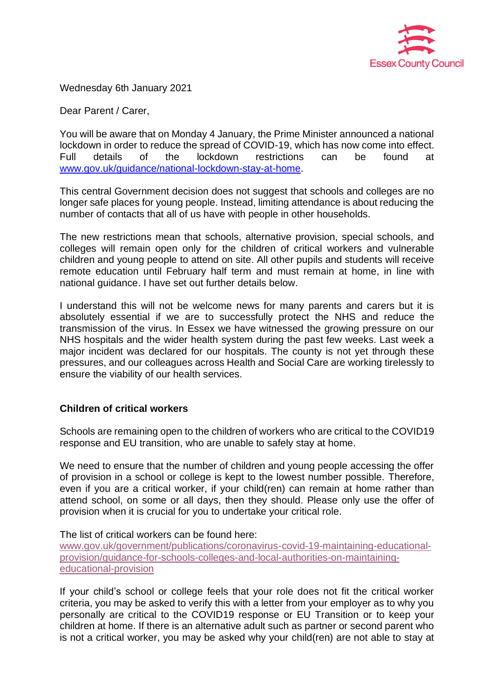

Wednesday 6th January 2021

Dear Parent / Carer,

You will be aware that on Monday 4 January, the Prime Minister announced a national lockdown in order to reduce the spread of COVID-19, which has now come into effect. Full details of the lockdown restrictions can be found at www.gov.uk/guidance/national-lockdown-stay-at-home.

This central Government decision does not suggest that schools and colleges are no longer safe places for young people. Instead, limiting attendance is about reducing the number of contacts that all of us have with people in other households.

The new restrictions mean that schools, alternative provision, special schools, and colleges will remain open only for the children of critical workers and vulnerable children and young people to attend on site. All other pupils and students will receive remote education until February half term and must remain at home, in line with national guidance. I have set out further details below.

I understand this will not be welcome news for many parents and carers but it is absolutely essential if we are to successfully protect the NHS and reduce the transmission of the virus. In Essex we have witnessed the growing pressure on our NHS hospitals and the wider health system during the past few weeks. Last week a major incident was declared for our hospitals. The county is not yet through these pressures, and our colleagues across Health and Social Care are working tirelessly to ensure the viability of our health services.

# **Children of critical workers**

Schools are remaining open to the children of workers who are critical to the COVID19 response and EU transition, who are unable to safely stay at home.

We need to ensure that the number of children and young people accessing the offer of provision in a school or college is kept to the lowest number possible. Therefore, even if you are a critical worker, if your child(ren) can remain at home rather than attend school, on some or all days, then they should. Please only use the offer of provision when it is crucial for you to undertake your critical role.

The list of critical workers can be found here:

www.gov.uk/government/publications/coronavirus-covid-19-maintaining-educationalprovision/guidance-for-schools-colleges-and-local-authorities-on-maintainingeducational-provision

If your child's school or college feels that your role does not fit the critical worker criteria, you may be asked to verify this with a letter from your employer as to why you personally are critical to the COVID19 response or EU Transition or to keep your children at home. If there is an alternative adult such as partner or second parent who is not a critical worker, you may be asked why your child(ren) are not able to stay at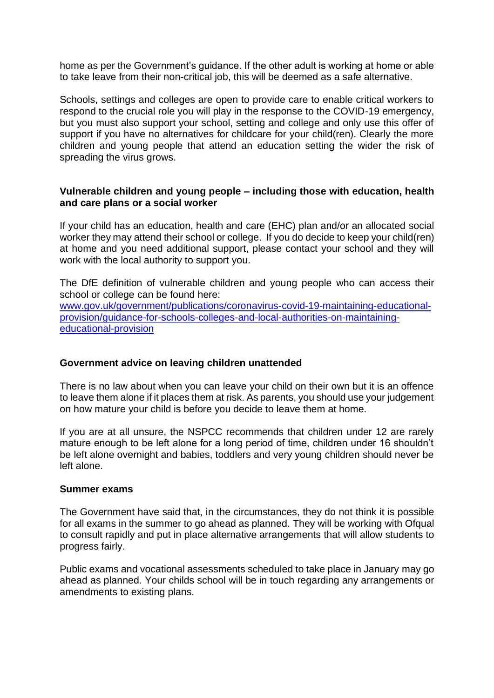home as per the Government's guidance. If the other adult is working at home or able to take leave from their non-critical job, this will be deemed as a safe alternative.

Schools, settings and colleges are open to provide care to enable critical workers to respond to the crucial role you will play in the response to the COVID-19 emergency, but you must also support your school, setting and college and only use this offer of support if you have no alternatives for childcare for your child(ren). Clearly the more children and young people that attend an education setting the wider the risk of spreading the virus grows.

# **Vulnerable children and young people – including those with education, health and care plans or a social worker**

If your child has an education, health and care (EHC) plan and/or an allocated social worker they may attend their school or college. If you do decide to keep your child(ren) at home and you need additional support, please contact your school and they will work with the local authority to support you.

The DfE definition of vulnerable children and young people who can access their school or college can be found here:

www.gov.uk/government/publications/coronavirus-covid-19-maintaining-educationalprovision/guidance-for-schools-colleges-and-local-authorities-on-maintainingeducational-provision

# **Government advice on leaving children unattended**

There is no law about when you can leave your child on their own but it is an offence to leave them alone if it places them at risk. As parents, you should use your judgement on how mature your child is before you decide to leave them at home.

If you are at all unsure, the NSPCC recommends that children under 12 are rarely mature enough to be left alone for a long period of time, children under 16 shouldn't be left alone overnight and babies, toddlers and very young children should never be left alone.

# **Summer exams**

The Government have said that, in the circumstances, they do not think it is possible for all exams in the summer to go ahead as planned. They will be working with Ofqual to consult rapidly and put in place alternative arrangements that will allow students to progress fairly.

Public exams and vocational assessments scheduled to take place in January may go ahead as planned. Your childs school will be in touch regarding any arrangements or amendments to existing plans.